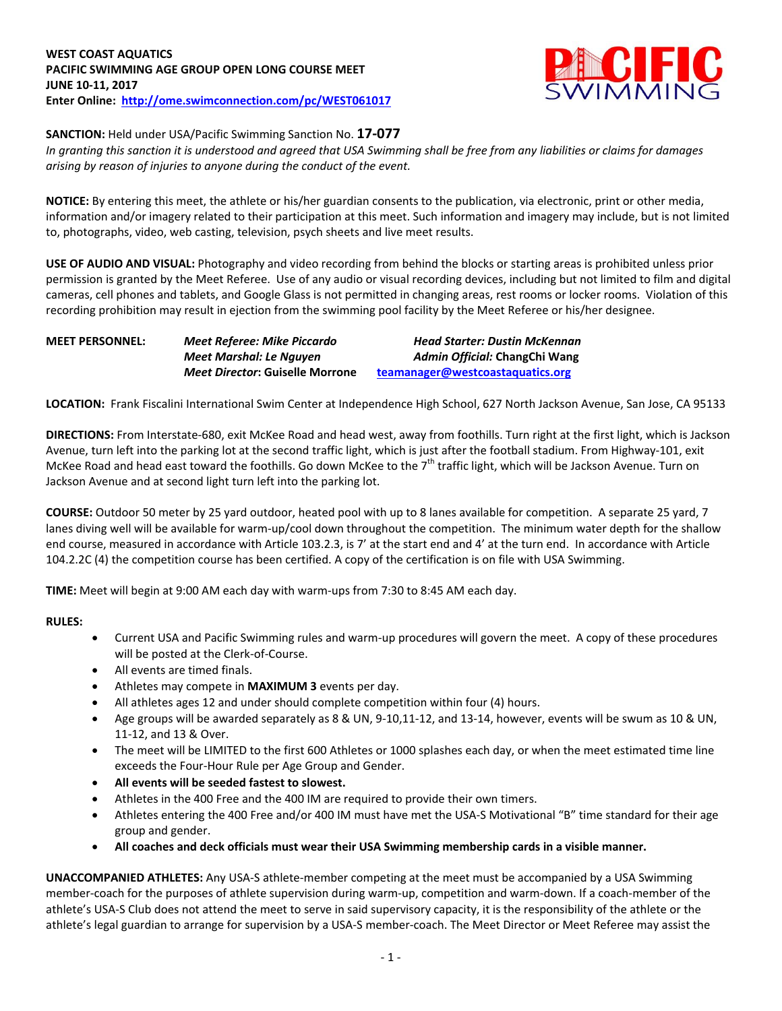

## **SANCTION:** Held under USA/Pacific Swimming Sanction No. **17-077**

*In granting this sanction it is understood and agreed that USA Swimming shall be free from any liabilities or claims for damages arising by reason of injuries to anyone during the conduct of the event.*

**NOTICE:** By entering this meet, the athlete or his/her guardian consents to the publication, via electronic, print or other media, information and/or imagery related to their participation at this meet. Such information and imagery may include, but is not limited to, photographs, video, web casting, television, psych sheets and live meet results.

**USE OF AUDIO AND VISUAL:** Photography and video recording from behind the blocks or starting areas is prohibited unless prior permission is granted by the Meet Referee. Use of any audio or visual recording devices, including but not limited to film and digital cameras, cell phones and tablets, and Google Glass is not permitted in changing areas, rest rooms or locker rooms. Violation of this recording prohibition may result in ejection from the swimming pool facility by the Meet Referee or his/her designee.

| <b>MEET PERSONNEL:</b> | Meet Referee: Mike Piccardo            | <b>Head Starter: Dustin McKennan</b> |
|------------------------|----------------------------------------|--------------------------------------|
|                        | Meet Marshal: Le Nauyen                | Admin Official: ChangChi Wang        |
|                        | <b>Meet Director: Guiselle Morrone</b> | teamanager@westcoastaquatics.org     |

**LOCATION:** Frank Fiscalini International Swim Center at Independence High School, 627 North Jackson Avenue, San Jose, CA 95133

**DIRECTIONS:** From Interstate-680, exit McKee Road and head west, away from foothills. Turn right at the first light, which is Jackson Avenue, turn left into the parking lot at the second traffic light, which is just after the football stadium. From Highway-101, exit McKee Road and head east toward the foothills. Go down McKee to the 7<sup>th</sup> traffic light, which will be Jackson Avenue. Turn on Jackson Avenue and at second light turn left into the parking lot.

**COURSE:** Outdoor 50 meter by 25 yard outdoor, heated pool with up to 8 lanes available for competition.A separate 25 yard, 7 lanes diving well will be available for warm-up/cool down throughout the competition. The minimum water depth for the shallow end course, measured in accordance with Article 103.2.3, is 7' at the start end and 4' at the turn end. In accordance with Article 104.2.2C (4) the competition course has been certified. A copy of the certification is on file with USA Swimming.

**TIME:** Meet will begin at 9:00 AM each day with warm-ups from 7:30 to 8:45 AM each day.

#### **RULES:**

- Current USA and Pacific Swimming rules and warm-up procedures will govern the meet. A copy of these procedures will be posted at the Clerk-of-Course.
- All events are timed finals.
- Athletes may compete in **MAXIMUM 3** events per day.
- All athletes ages 12 and under should complete competition within four (4) hours.
- Age groups will be awarded separately as 8 & UN, 9-10,11-12, and 13-14, however, events will be swum as 10 & UN, 11-12, and 13 & Over.
- The meet will be LIMITED to the first 600 Athletes or 1000 splashes each day, or when the meet estimated time line exceeds the Four-Hour Rule per Age Group and Gender.
- **All events will be seeded fastest to slowest.**
- Athletes in the 400 Free and the 400 IM are required to provide their own timers.
- Athletes entering the 400 Free and/or 400 IM must have met the USA-S Motivational "B" time standard for their age group and gender.
- **All coaches and deck officials must wear their USA Swimming membership cards in a visible manner.**

**UNACCOMPANIED ATHLETES:** Any USA-S athlete-member competing at the meet must be accompanied by a USA Swimming member-coach for the purposes of athlete supervision during warm-up, competition and warm-down. If a coach-member of the athlete's USA-S Club does not attend the meet to serve in said supervisory capacity, it is the responsibility of the athlete or the athlete's legal guardian to arrange for supervision by a USA-S member-coach. The Meet Director or Meet Referee may assist the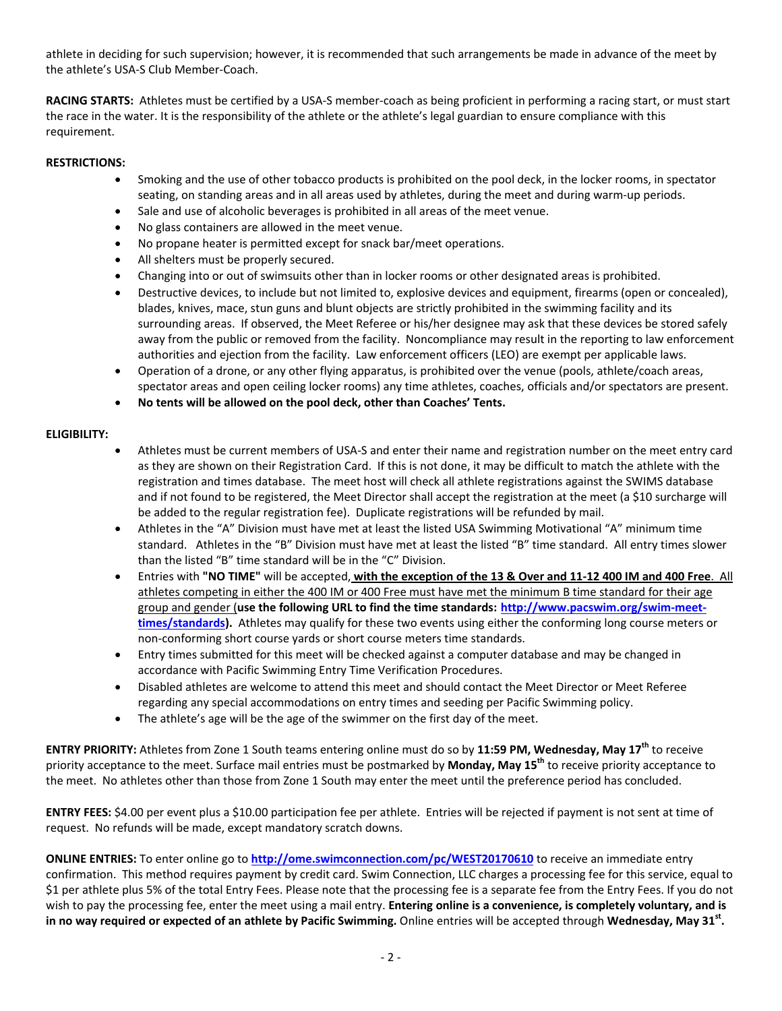athlete in deciding for such supervision; however, it is recommended that such arrangements be made in advance of the meet by the athlete's USA-S Club Member-Coach.

**RACING STARTS:** Athletes must be certified by a USA-S member-coach as being proficient in performing a racing start, or must start the race in the water. It is the responsibility of the athlete or the athlete's legal guardian to ensure compliance with this requirement.

## **RESTRICTIONS:**

- Smoking and the use of other tobacco products is prohibited on the pool deck, in the locker rooms, in spectator seating, on standing areas and in all areas used by athletes, during the meet and during warm-up periods.
- Sale and use of alcoholic beverages is prohibited in all areas of the meet venue.
- No glass containers are allowed in the meet venue.
- No propane heater is permitted except for snack bar/meet operations.
- All shelters must be properly secured.
- Changing into or out of swimsuits other than in locker rooms or other designated areas is prohibited.
- Destructive devices, to include but not limited to, explosive devices and equipment, firearms (open or concealed), blades, knives, mace, stun guns and blunt objects are strictly prohibited in the swimming facility and its surrounding areas. If observed, the Meet Referee or his/her designee may ask that these devices be stored safely away from the public or removed from the facility. Noncompliance may result in the reporting to law enforcement authorities and ejection from the facility. Law enforcement officers (LEO) are exempt per applicable laws.
- Operation of a drone, or any other flying apparatus, is prohibited over the venue (pools, athlete/coach areas, spectator areas and open ceiling locker rooms) any time athletes, coaches, officials and/or spectators are present.
- **No tents will be allowed on the pool deck, other than Coaches' Tents.**

# **ELIGIBILITY:**

- Athletes must be current members of USA-S and enter their name and registration number on the meet entry card as they are shown on their Registration Card. If this is not done, it may be difficult to match the athlete with the registration and times database. The meet host will check all athlete registrations against the SWIMS database and if not found to be registered, the Meet Director shall accept the registration at the meet (a \$10 surcharge will be added to the regular registration fee). Duplicate registrations will be refunded by mail.
- Athletes in the "A" Division must have met at least the listed USA Swimming Motivational "A" minimum time standard. Athletes in the "B" Division must have met at least the listed "B" time standard. All entry times slower than the listed "B" time standard will be in the "C" Division.
- Entries with **"NO TIME"** will be accepted, **with the exception of the 13 & Over and 11-12 400 IM and 400 Free**. All athletes competing in either the 400 IM or 400 Free must have met the minimum B time standard for their age group and gender (**use the following URL to find the time standards: [http://www.pacswim.org/swim-meet](http://www.pacswim.org/swim-meet-times/standards)[times/standards\)](http://www.pacswim.org/swim-meet-times/standards).** Athletes may qualify for these two events using either the conforming long course meters or non-conforming short course yards or short course meters time standards.
- Entry times submitted for this meet will be checked against a computer database and may be changed in accordance with Pacific Swimming Entry Time Verification Procedures.
- Disabled athletes are welcome to attend this meet and should contact the Meet Director or Meet Referee regarding any special accommodations on entry times and seeding per Pacific Swimming policy.
- The athlete's age will be the age of the swimmer on the first day of the meet.

**ENTRY PRIORITY:** Athletes from Zone 1 South teams entering online must do so by **11:59 PM, Wednesday, May 17th** to receive priority acceptance to the meet. Surface mail entries must be postmarked by **Monday, May 15th** to receive priority acceptance to the meet. No athletes other than those from Zone 1 South may enter the meet until the preference period has concluded.

**ENTRY FEES:** \$4.00 per event plus a \$10.00 participation fee per athlete. Entries will be rejected if payment is not sent at time of request. No refunds will be made, except mandatory scratch downs.

**ONLINE ENTRIES:** To enter online go to **<http://ome.swimconnection.com/pc/WEST20170610>** to receive an immediate entry confirmation. This method requires payment by credit card. Swim Connection, LLC charges a processing fee for this service, equal to \$1 per athlete plus 5% of the total Entry Fees. Please note that the processing fee is a separate fee from the Entry Fees. If you do not wish to pay the processing fee, enter the meet using a mail entry. **Entering online is a convenience, is completely voluntary, and is in no way required or expected of an athlete by Pacific Swimming.** Online entries will be accepted through **Wednesday, May 31st .**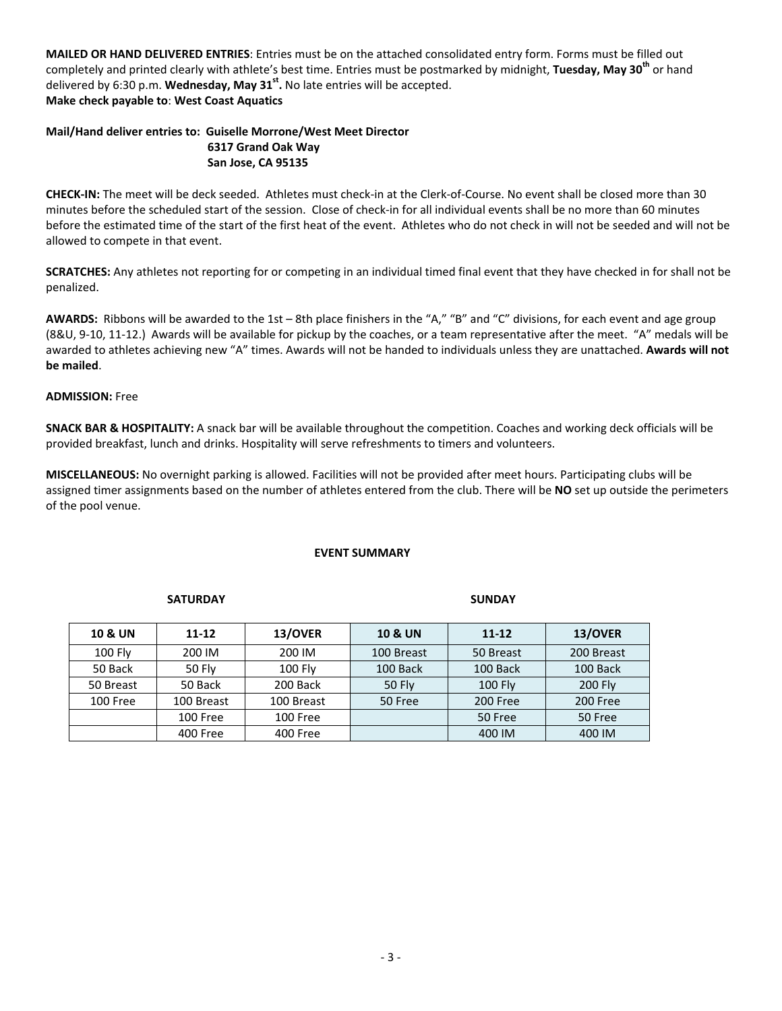**MAILED OR HAND DELIVERED ENTRIES**: Entries must be on the attached consolidated entry form. Forms must be filled out completely and printed clearly with athlete's best time. Entries must be postmarked by midnight, **Tuesday, May 30th** or hand delivered by 6:30 p.m. **Wednesday, May 31st .** No late entries will be accepted. **Make check payable to**: **West Coast Aquatics**

## **Mail/Hand deliver entries to: Guiselle Morrone/West Meet Director 6317 Grand Oak Way San Jose, CA 95135**

**CHECK-IN:** The meet will be deck seeded. Athletes must check-in at the Clerk-of-Course. No event shall be closed more than 30 minutes before the scheduled start of the session. Close of check-in for all individual events shall be no more than 60 minutes before the estimated time of the start of the first heat of the event. Athletes who do not check in will not be seeded and will not be allowed to compete in that event.

**SCRATCHES:** Any athletes not reporting for or competing in an individual timed final event that they have checked in for shall not be penalized.

**AWARDS:** Ribbons will be awarded to the 1st – 8th place finishers in the "A," "B" and "C" divisions, for each event and age group (8&U, 9-10, 11-12.) Awards will be available for pickup by the coaches, or a team representative after the meet. "A" medals will be awarded to athletes achieving new "A" times. Awards will not be handed to individuals unless they are unattached. **Awards will not be mailed**.

#### **ADMISSION:** Free

**SNACK BAR & HOSPITALITY:** A snack bar will be available throughout the competition. Coaches and working deck officials will be provided breakfast, lunch and drinks. Hospitality will serve refreshments to timers and volunteers.

**MISCELLANEOUS:** No overnight parking is allowed. Facilities will not be provided after meet hours. Participating clubs will be assigned timer assignments based on the number of athletes entered from the club. There will be **NO** set up outside the perimeters of the pool venue.

#### **EVENT SUMMARY**

#### **SATURDAY SUNDAY**

| <b>10 &amp; UN</b> | $11 - 12$  | 13/OVER    | <b>10 &amp; UN</b> | $11 - 12$      | 13/OVER        |
|--------------------|------------|------------|--------------------|----------------|----------------|
| $100$ Fly          | 200 IM     | 200 IM     | 100 Breast         | 50 Breast      | 200 Breast     |
| 50 Back            | 50 Fly     | $100$ Fly  | 100 Back           | 100 Back       | 100 Back       |
| 50 Breast          | 50 Back    | 200 Back   | <b>50 Fly</b>      | <b>100 Flv</b> | <b>200 Flv</b> |
| 100 Free           | 100 Breast | 100 Breast | 50 Free            | 200 Free       | 200 Free       |
|                    | 100 Free   | 100 Free   |                    | 50 Free        | 50 Free        |
|                    | 400 Free   | 400 Free   |                    | 400 IM         | 400 IM         |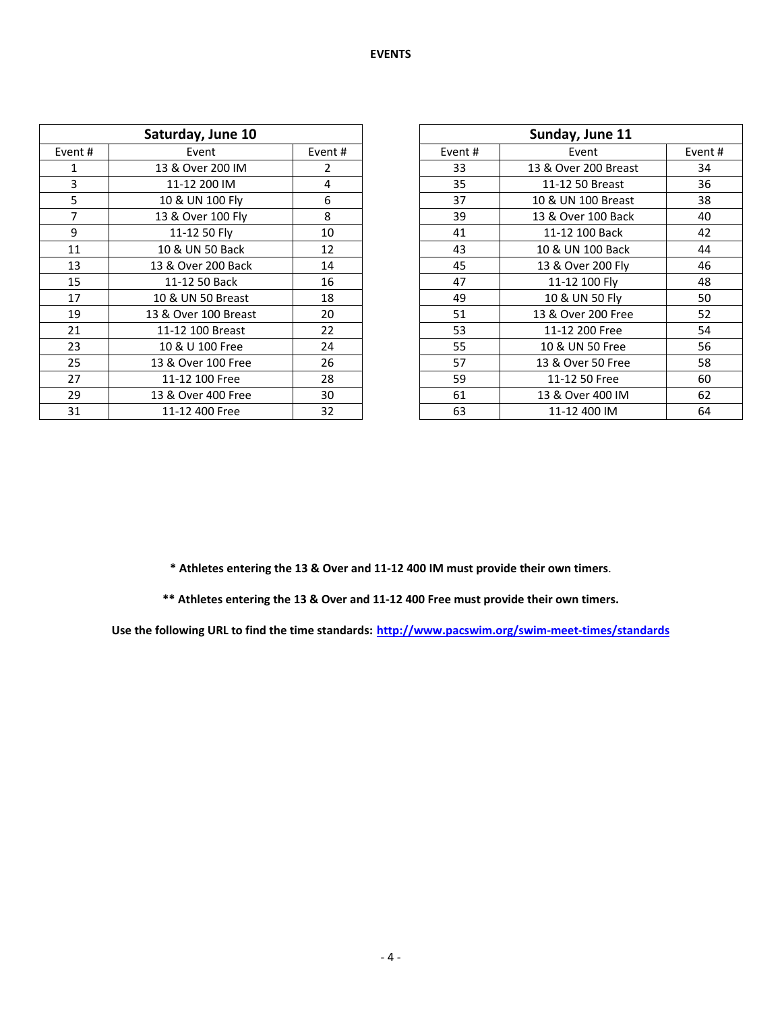| Saturday, June 10 |                      |        | Sunday, June 11 |                      |        |
|-------------------|----------------------|--------|-----------------|----------------------|--------|
| Event #           | Event                | Event# | Event#          | Event                | Event# |
| 1                 | 13 & Over 200 IM     | 2      | 33              | 13 & Over 200 Breast | 34     |
| 3                 | 11-12 200 IM         | 4      | 35              | 11-12 50 Breast      | 36     |
| 5                 | 10 & UN 100 Fly      | 6      | 37              | 10 & UN 100 Breast   | 38     |
| 7                 | 13 & Over 100 Fly    | 8      | 39              | 13 & Over 100 Back   | 40     |
| 9                 | 11-12 50 Flv         | 10     | 41              | 11-12 100 Back       | 42     |
| 11                | 10 & UN 50 Back      | 12     | 43              | 10 & UN 100 Back     | 44     |
| 13                | 13 & Over 200 Back   | 14     | 45              | 13 & Over 200 Fly    | 46     |
| 15                | 11-12 50 Back        | 16     | 47              | 11-12 100 Fly        | 48     |
| 17                | 10 & UN 50 Breast    | 18     | 49              | 10 & UN 50 Fly       | 50     |
| 19                | 13 & Over 100 Breast | 20     | 51              | 13 & Over 200 Free   | 52     |
| 21                | 11-12 100 Breast     | 22     | 53              | 11-12 200 Free       | 54     |
| 23                | 10 & U 100 Free      | 24     | 55              | 10 & UN 50 Free      | 56     |
| 25                | 13 & Over 100 Free   | 26     | 57              | 13 & Over 50 Free    | 58     |
| 27                | 11-12 100 Free       | 28     | 59              | 11-12 50 Free        | 60     |
| 29                | 13 & Over 400 Free   | 30     | 61              | 13 & Over 400 IM     | 62     |
| 31                | 11-12 400 Free       | 32     | 63              | 11-12 400 IM         | 64     |

| Sunday, June 11 |                      |        |  |  |  |  |
|-----------------|----------------------|--------|--|--|--|--|
|                 |                      |        |  |  |  |  |
| Event#          | Event                | Event# |  |  |  |  |
| 33              | 13 & Over 200 Breast | 34     |  |  |  |  |
| 35              | 11-12 50 Breast      | 36     |  |  |  |  |
| 37              | 10 & UN 100 Breast   | 38     |  |  |  |  |
| 39              | 13 & Over 100 Back   | 40     |  |  |  |  |
| 41              | 11-12 100 Back       | 42     |  |  |  |  |
| 43              | 10 & UN 100 Back     | 44     |  |  |  |  |
| 45              | 13 & Over 200 Fly    | 46     |  |  |  |  |
| 47              | 11-12 100 Fly        | 48     |  |  |  |  |
| 49              | 10 & UN 50 Fly       | 50     |  |  |  |  |
| 51              | 13 & Over 200 Free   | 52     |  |  |  |  |
| 53              | 11-12 200 Free       | 54     |  |  |  |  |
| 55              | 10 & UN 50 Free      | 56     |  |  |  |  |
| 57              | 13 & Over 50 Free    | 58     |  |  |  |  |
| 59              | 11-12 50 Free        | 60     |  |  |  |  |
| 61              | 13 & Over 400 IM     | 62     |  |  |  |  |
| 63              | 11-12 400 IM         | 64     |  |  |  |  |

**\* Athletes entering the 13 & Over and 11-12 400 IM must provide their own timers**.

**\*\* Athletes entering the 13 & Over and 11-12 400 Free must provide their own timers.**

**Use the following URL to find the time standards: <http://www.pacswim.org/swim-meet-times/standards>**